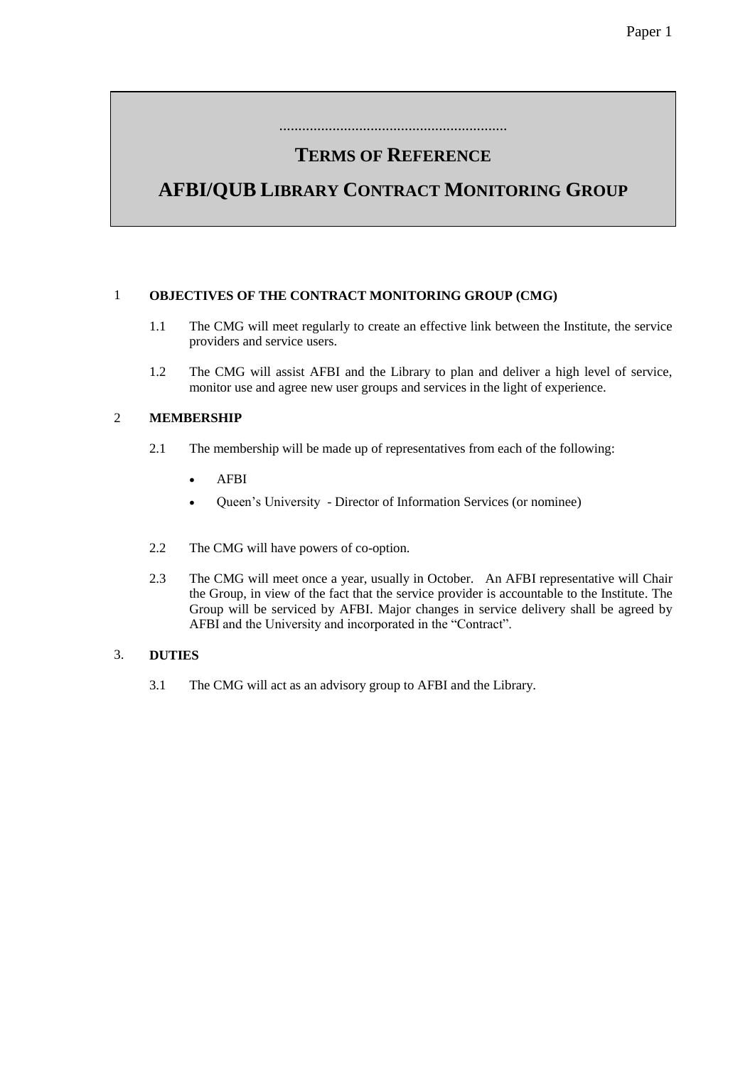## **TERMS OF REFERENCE**

............................................................

# **AFBI/QUB LIBRARY CONTRACT MONITORING GROUP**

### 1 **OBJECTIVES OF THE CONTRACT MONITORING GROUP (CMG)**

- 1.1 The CMG will meet regularly to create an effective link between the Institute, the service providers and service users.
- 1.2 The CMG will assist AFBI and the Library to plan and deliver a high level of service, monitor use and agree new user groups and services in the light of experience.

### 2 **MEMBERSHIP**

- 2.1 The membership will be made up of representatives from each of the following:
	- AFBI
	- Queen's University Director of Information Services (or nominee)
- 2.2 The CMG will have powers of co-option.
- 2.3 The CMG will meet once a year, usually in October. An AFBI representative will Chair the Group, in view of the fact that the service provider is accountable to the Institute. The Group will be serviced by AFBI. Major changes in service delivery shall be agreed by AFBI and the University and incorporated in the "Contract".

#### 3. **DUTIES**

3.1 The CMG will act as an advisory group to AFBI and the Library.